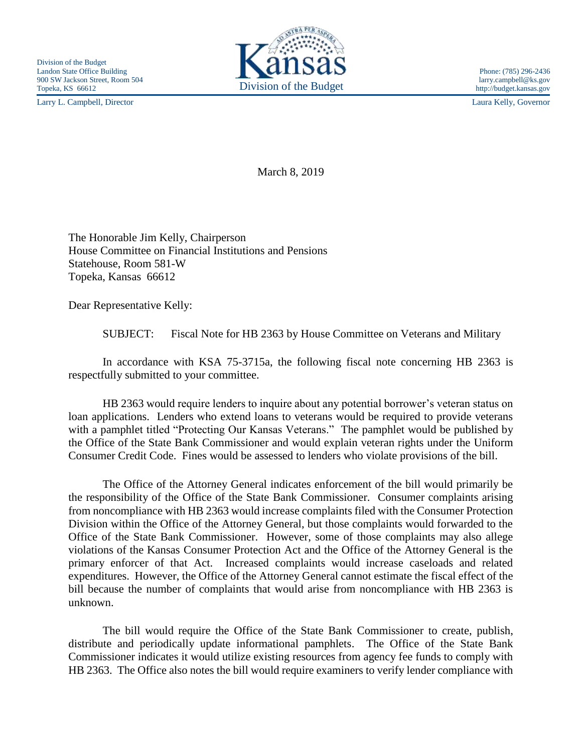Larry L. Campbell, Director Laura Kelly, Governor



http://budget.kansas.gov

March 8, 2019

The Honorable Jim Kelly, Chairperson House Committee on Financial Institutions and Pensions Statehouse, Room 581-W Topeka, Kansas 66612

Dear Representative Kelly:

SUBJECT: Fiscal Note for HB 2363 by House Committee on Veterans and Military

In accordance with KSA 75-3715a, the following fiscal note concerning HB 2363 is respectfully submitted to your committee.

HB 2363 would require lenders to inquire about any potential borrower's veteran status on loan applications. Lenders who extend loans to veterans would be required to provide veterans with a pamphlet titled "Protecting Our Kansas Veterans." The pamphlet would be published by the Office of the State Bank Commissioner and would explain veteran rights under the Uniform Consumer Credit Code. Fines would be assessed to lenders who violate provisions of the bill.

The Office of the Attorney General indicates enforcement of the bill would primarily be the responsibility of the Office of the State Bank Commissioner. Consumer complaints arising from noncompliance with HB 2363 would increase complaints filed with the Consumer Protection Division within the Office of the Attorney General, but those complaints would forwarded to the Office of the State Bank Commissioner. However, some of those complaints may also allege violations of the Kansas Consumer Protection Act and the Office of the Attorney General is the primary enforcer of that Act. Increased complaints would increase caseloads and related expenditures. However, the Office of the Attorney General cannot estimate the fiscal effect of the bill because the number of complaints that would arise from noncompliance with HB 2363 is unknown.

The bill would require the Office of the State Bank Commissioner to create, publish, distribute and periodically update informational pamphlets. The Office of the State Bank Commissioner indicates it would utilize existing resources from agency fee funds to comply with HB 2363. The Office also notes the bill would require examiners to verify lender compliance with